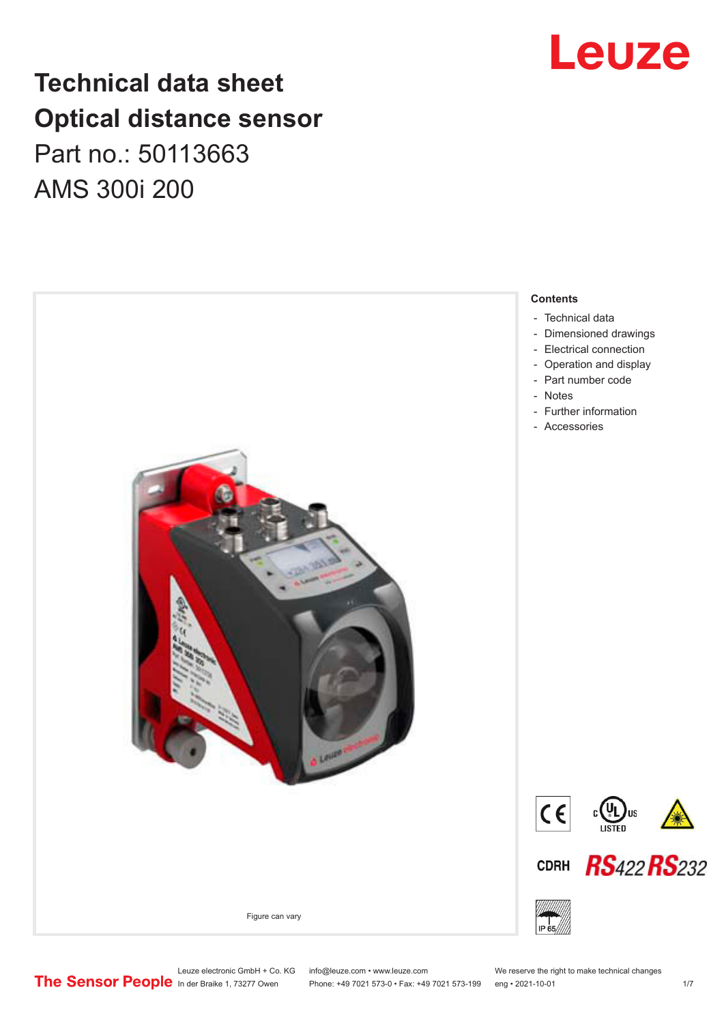## **Technical data sheet Optical distance sensor** Part no.: 50113663 AMS 300i 200



## Leuze

Leuze electronic GmbH + Co. KG info@leuze.com • www.leuze.com We reserve the right to make technical changes<br>
The Sensor People in der Braike 1, 73277 Owen Phone: +49 7021 573-0 • Fax: +49 7021 573-199 eng • 2021-10-01

Phone: +49 7021 573-0 • Fax: +49 7021 573-199 eng • 2021-10-01 1 2021-10-01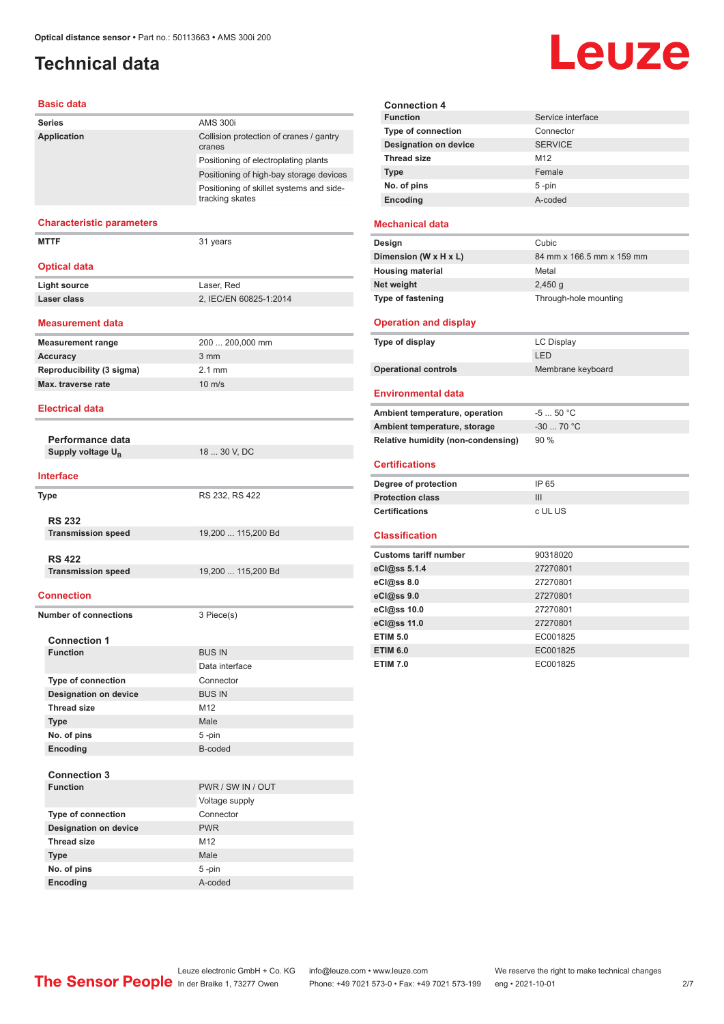## <span id="page-1-0"></span>**Technical data**

#### **Basic data**

| <b>Series</b>                    | <b>AMS 300i</b>                                             |
|----------------------------------|-------------------------------------------------------------|
| <b>Application</b>               | Collision protection of cranes / gantry<br>cranes           |
|                                  | Positioning of electroplating plants                        |
|                                  | Positioning of high-bay storage devices                     |
|                                  | Positioning of skillet systems and side-<br>tracking skates |
|                                  |                                                             |
| <b>Characteristic parameters</b> |                                                             |
| <b>MTTF</b>                      | 31 years                                                    |
|                                  |                                                             |

#### **Optical data**

| <b>Light source</b> | Laser, Red             |
|---------------------|------------------------|
| Laser class         | 2. IEC/EN 60825-1:2014 |

#### **Measurement data**

| <b>Measurement range</b>  | 200  200,000 mm  |
|---------------------------|------------------|
| Accuracy                  | $3 \, \text{mm}$ |
| Reproducibility (3 sigma) | 2 1 mm           |
| Max. traverse rate        | $10 \text{ m/s}$ |
|                           |                  |

#### **Electrical data**

**Performance data Supply voltage U<sub>B</sub>** 

18 ... 30 V, DC

**Type** RS 232, RS 422

19,200 ... 115,200 Bd

#### **Interface**

| Type                      |
|---------------------------|
| <b>RS 232</b>             |
| <b>Transmission speed</b> |
|                           |

**RS 422 Transmission speed** 19,200 ... 115,200 Bd

#### **Connection**

**Number of connections** 3 Piece(s)

| <b>Connection 1</b>          |                   |
|------------------------------|-------------------|
| <b>Function</b>              | <b>BUS IN</b>     |
|                              | Data interface    |
| <b>Type of connection</b>    | Connector         |
| <b>Designation on device</b> | <b>BUS IN</b>     |
| <b>Thread size</b>           | M12               |
| <b>Type</b>                  | Male              |
| No. of pins                  | $5 - pin$         |
| Encoding                     | B-coded           |
|                              |                   |
| <b>Connection 3</b>          |                   |
| <b>Function</b>              | PWR / SW IN / OUT |
|                              | Voltage supply    |
| <b>Type of connection</b>    | Connector         |
| <b>Designation on device</b> | <b>PWR</b>        |
| <b>Thread size</b>           | M <sub>12</sub>   |
| <b>Type</b>                  | Male              |
| No. of pins                  | $5 - pin$         |
| Encoding                     | A-coded           |

| <b>Connection 4</b>          |                   |
|------------------------------|-------------------|
| <b>Function</b>              | Service interface |
| <b>Type of connection</b>    | Connector         |
| <b>Designation on device</b> | <b>SERVICE</b>    |
| <b>Thread size</b>           | M <sub>12</sub>   |
| <b>Type</b>                  | Female            |
| No. of pins                  | $5 - pin$         |
| Encoding                     | hehon-A           |

#### **Mechanical data**

| Design                   | Cubic                     |
|--------------------------|---------------------------|
| Dimension (W x H x L)    | 84 mm x 166.5 mm x 159 mm |
| <b>Housing material</b>  | Metal                     |
| Net weight               | $2,450$ q                 |
| <b>Type of fastening</b> | Through-hole mounting     |

#### **Operation and display**

| Type of display             | LC Display        |
|-----------------------------|-------------------|
|                             | LED               |
| <b>Operational controls</b> | Membrane keyboard |

#### **Environmental data**

| Ambient temperature, operation     | $-550 °C$   |
|------------------------------------|-------------|
| Ambient temperature, storage       | $-30$ 70 °C |
| Relative humidity (non-condensing) | 90%         |
| <b>Certifications</b>              |             |
| Degree of protection               | IP 65       |
| <b>Protection class</b>            | Ш           |
| <b>Certifications</b>              | c UL US     |

#### **Classification**

| <b>Customs tariff number</b> | 90318020 |
|------------------------------|----------|
| eCl@ss 5.1.4                 | 27270801 |
| eCl@ss 8.0                   | 27270801 |
| eCl@ss 9.0                   | 27270801 |
| eCl@ss 10.0                  | 27270801 |
| eCl@ss 11.0                  | 27270801 |
| <b>ETIM 5.0</b>              | EC001825 |
| <b>ETIM 6.0</b>              | EC001825 |
| <b>ETIM 7.0</b>              | EC001825 |

## Leuze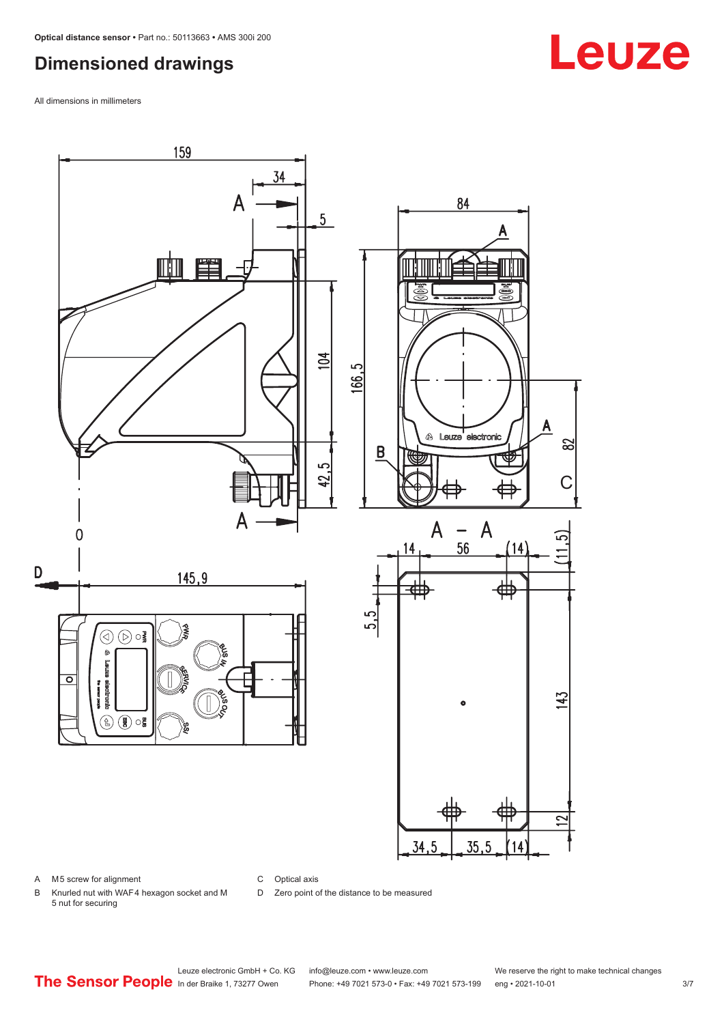## <span id="page-2-0"></span>**Dimensioned drawings**

All dimensions in millimeters



A M5 screw for alignment

C Optical axis

D Zero point of the distance to be measured

B Knurled nut with WAF 4 hexagon socket and M 5 nut for securing

## **Leuze**

Leuze electronic GmbH + Co. KG info@leuze.com • www.leuze.com We reserve the right to make technical changes<br>
The Sensor People in der Braike 1, 73277 Owen Phone: +49 7021 573-0 • Fax: +49 7021 573-199 eng • 2021-10-01

Phone: +49 7021 573-0 • Fax: +49 7021 573-199 eng • 2021-10-01 3/7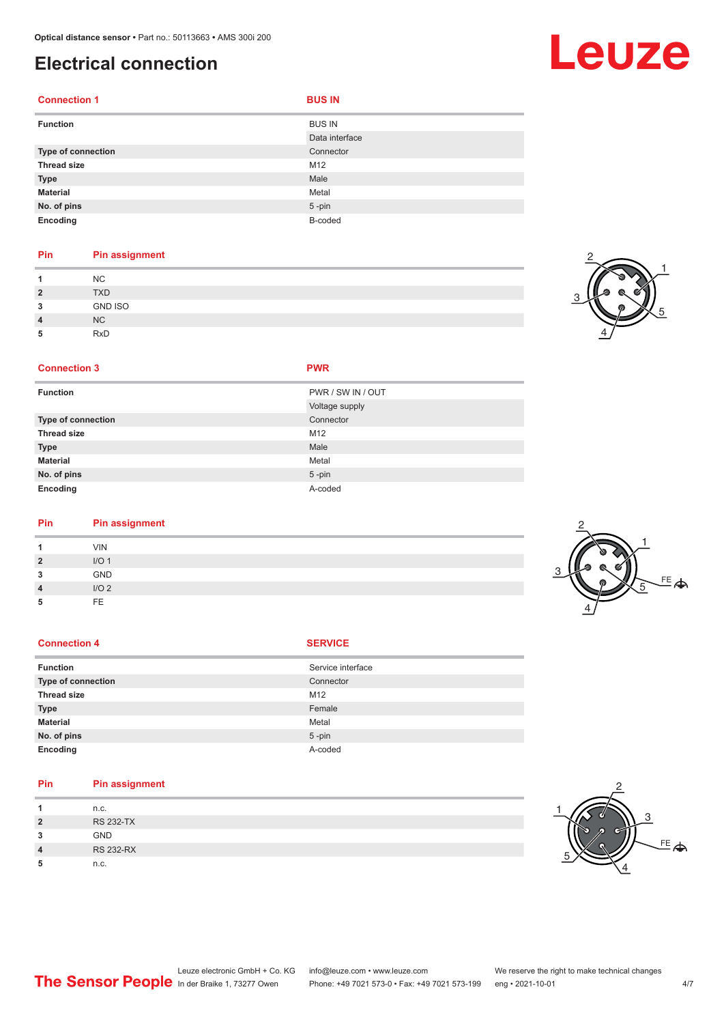## <span id="page-3-0"></span>**Electrical connection**

| <b>Function</b>           | <b>BUS IN</b>  |
|---------------------------|----------------|
|                           | Data interface |
| <b>Type of connection</b> | Connector      |
| <b>Thread size</b>        | M12            |
| <b>Type</b>               | Male           |
| <b>Material</b>           | Metal          |
| No. of pins               | $5$ -pin       |
| Encoding                  | B-coded        |

#### **Pin Pin assignment**

|              | <b>NC</b>      |
|--------------|----------------|
| $\mathbf{2}$ | <b>TXD</b>     |
| 3            | <b>GND ISO</b> |
| 4            | NC             |
| 5            | RxD            |

#### **Connection 3 PWR**

| ٠ |  |  |
|---|--|--|
|   |  |  |

| <b>Function</b>    | PWR / SW IN / OUT |  |
|--------------------|-------------------|--|
|                    | Voltage supply    |  |
| Type of connection | Connector         |  |
| <b>Thread size</b> | M12               |  |
| <b>Type</b>        | Male              |  |
| <b>Material</b>    | Metal             |  |
| No. of pins        | $5$ -pin          |  |
| Encoding           | A-coded           |  |

## **Pin Pin assignment**

|                         | <b>VIN</b>       |  |
|-------------------------|------------------|--|
| $\overline{2}$          | I/O <sub>1</sub> |  |
| 3                       | GND              |  |
| $\overline{\mathbf{A}}$ | I/O2             |  |
| 5                       | FE               |  |
|                         |                  |  |

#### **Connection 4 SERVICE**

| <b>Function</b>    | Service interface |
|--------------------|-------------------|
| Type of connection | Connector         |
| <b>Thread size</b> | M12               |
| <b>Type</b>        | Female            |
| <b>Material</b>    | Metal             |
| No. of pins        | $5$ -pin          |
| Encoding           | A-coded           |

#### **Pin Pin assignment**

|                | n.c.             |  |
|----------------|------------------|--|
| $\overline{2}$ | <b>RS 232-TX</b> |  |
| 3              | <b>GND</b>       |  |
| $\overline{4}$ | <b>RS 232-RX</b> |  |
|                | n.c.             |  |



## Leuze







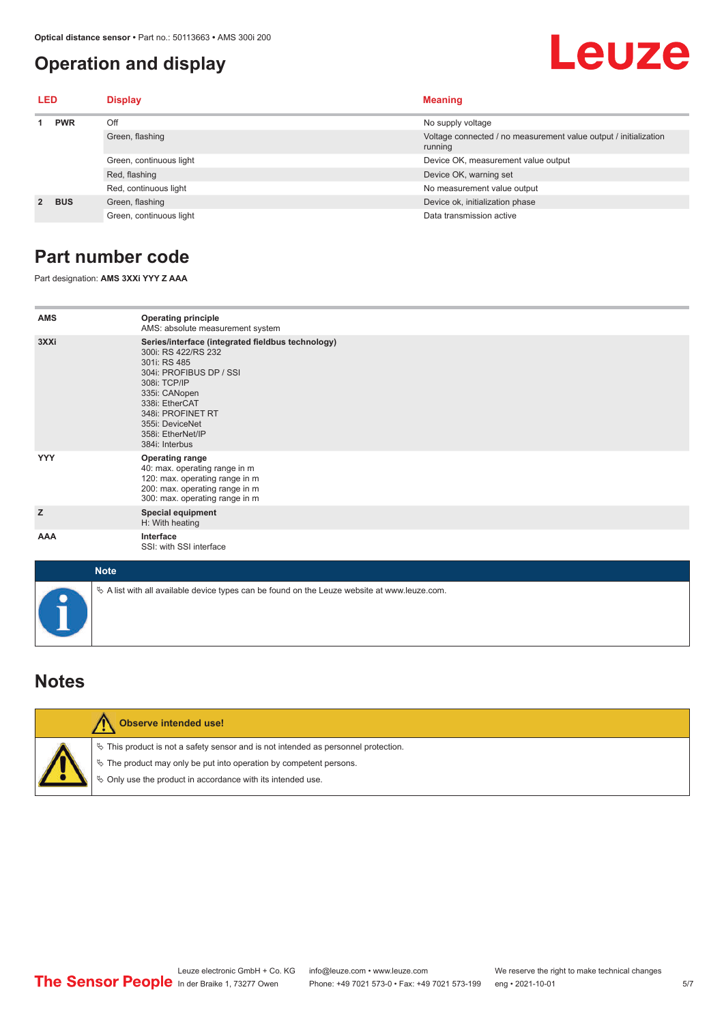## <span id="page-4-0"></span>**Operation and display**

## Leuze

| <b>LED</b>  |            | <b>Display</b>          | <b>Meaning</b>                                                              |  |
|-------------|------------|-------------------------|-----------------------------------------------------------------------------|--|
|             | <b>PWR</b> | Off                     | No supply voltage                                                           |  |
|             |            | Green, flashing         | Voltage connected / no measurement value output / initialization<br>running |  |
|             |            | Green, continuous light | Device OK, measurement value output                                         |  |
|             |            | Red, flashing           | Device OK, warning set                                                      |  |
|             |            | Red, continuous light   | No measurement value output                                                 |  |
| $2^{\circ}$ | <b>BUS</b> | Green, flashing         | Device ok, initialization phase                                             |  |
|             |            | Green, continuous light | Data transmission active                                                    |  |

## **Part number code**

Part designation: **AMS 3XXi YYY Z AAA**

| <b>AMS</b> | <b>Operating principle</b><br>AMS: absolute measurement system                                                                                                                                                                                        |
|------------|-------------------------------------------------------------------------------------------------------------------------------------------------------------------------------------------------------------------------------------------------------|
| 3XXi       | Series/interface (integrated fieldbus technology)<br>300i: RS 422/RS 232<br>301i: RS 485<br>304i: PROFIBUS DP / SSI<br>308i: TCP/IP<br>335i: CANopen<br>338i: EtherCAT<br>348i: PROFINET RT<br>355i: DeviceNet<br>358i: EtherNet/IP<br>384i: Interbus |
| <b>YYY</b> | <b>Operating range</b><br>40: max. operating range in m<br>120: max. operating range in m<br>200: max. operating range in m<br>300: max. operating range in m                                                                                         |
| z          | <b>Special equipment</b><br>H: With heating                                                                                                                                                                                                           |
| AAA        | Interface<br>SSI: with SSI interface                                                                                                                                                                                                                  |

| <b>Note</b>                                                                                  |
|----------------------------------------------------------------------------------------------|
| % A list with all available device types can be found on the Leuze website at www.leuze.com. |

### **Notes**

| Observe intended use!                                                                                                                                                                                                            |
|----------------------------------------------------------------------------------------------------------------------------------------------------------------------------------------------------------------------------------|
| $\%$ This product is not a safety sensor and is not intended as personnel protection.<br>$\&$ The product may only be put into operation by competent persons.<br>$\&$ Only use the product in accordance with its intended use. |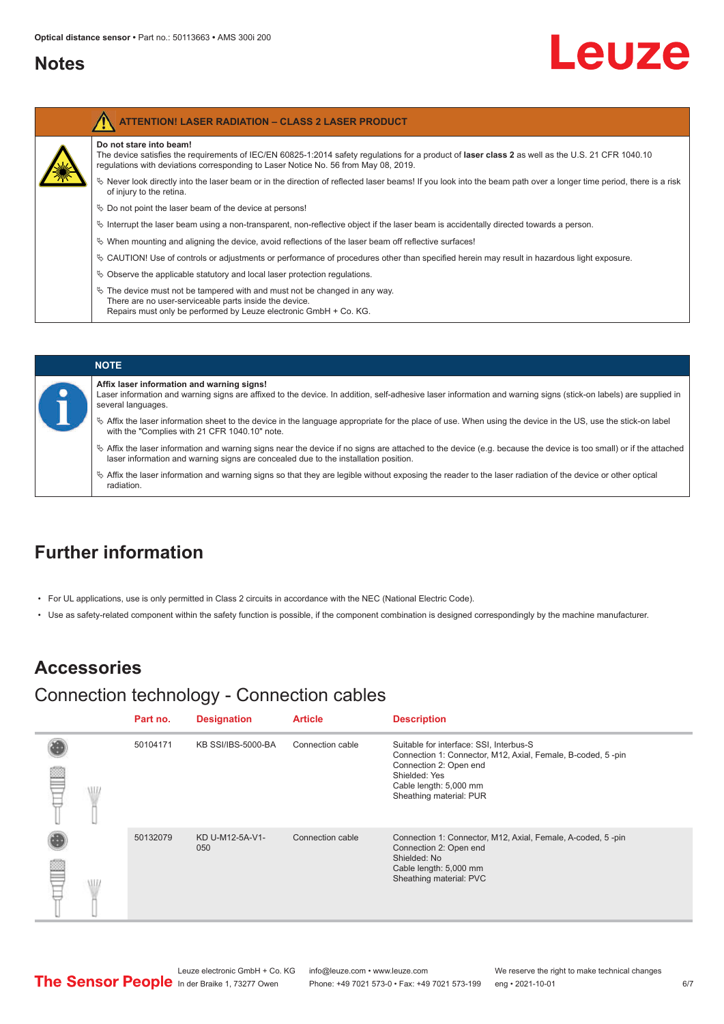### <span id="page-5-0"></span>**Notes**

# Leuze

| <b>ATTENTION! LASER RADIATION - CLASS 2 LASER PRODUCT</b>                                                                                                                                                                                                           |
|---------------------------------------------------------------------------------------------------------------------------------------------------------------------------------------------------------------------------------------------------------------------|
| Do not stare into beam!<br>The device satisfies the requirements of IEC/EN 60825-1:2014 safety requlations for a product of laser class 2 as well as the U.S. 21 CFR 1040.10<br>regulations with deviations corresponding to Laser Notice No. 56 from May 08, 2019. |
| $\&$ Never look directly into the laser beam or in the direction of reflected laser beams! If you look into the beam path over a longer time period, there is a risk<br>of injury to the retina.                                                                    |
| $\%$ Do not point the laser beam of the device at persons!                                                                                                                                                                                                          |
| Interrupt the laser beam using a non-transparent, non-reflective object if the laser beam is accidentally directed towards a person.                                                                                                                                |
| $\%$ When mounting and aligning the device, avoid reflections of the laser beam off reflective surfaces!                                                                                                                                                            |
| $\&$ CAUTION! Use of controls or adjustments or performance of procedures other than specified herein may result in hazardous light exposure.                                                                                                                       |
| $\&$ Observe the applicable statutory and local laser protection requisitions.                                                                                                                                                                                      |
| $\%$ The device must not be tampered with and must not be changed in any way.<br>There are no user-serviceable parts inside the device.<br>Repairs must only be performed by Leuze electronic GmbH + Co. KG.                                                        |

#### **NOTE Affix laser information and warning signs!** Laser information and warning signs are affixed to the device. In addition, self-adhesive laser information and warning signs (stick-on labels) are supplied in several languages. ª Affix the laser information sheet to the device in the language appropriate for the place of use. When using the device in the US, use the stick-on label with the "Complies with 21 CFR 1040.10" note. ª Affix the laser information and warning signs near the device if no signs are attached to the device (e.g. because the device is too small) or if the attached laser information and warning signs are concealed due to the installation position.  $\%$  Affix the laser information and warning signs so that they are legible without exposing the reader to the laser radiation of the device or other optical radiation.

## **Further information**

- For UL applications, use is only permitted in Class 2 circuits in accordance with the NEC (National Electric Code).
- Use as safety-related component within the safety function is possible, if the component combination is designed correspondingly by the machine manufacturer.

## **Accessories**

### Connection technology - Connection cables

|            | Part no. | <b>Designation</b>     | <b>Article</b>   | <b>Description</b>                                                                                                                                                                                     |
|------------|----------|------------------------|------------------|--------------------------------------------------------------------------------------------------------------------------------------------------------------------------------------------------------|
| <b>ALL</b> | 50104171 | KB SSI/IBS-5000-BA     | Connection cable | Suitable for interface: SSI, Interbus-S<br>Connection 1: Connector, M12, Axial, Female, B-coded, 5-pin<br>Connection 2: Open end<br>Shielded: Yes<br>Cable length: 5,000 mm<br>Sheathing material: PUR |
| <b>AIL</b> | 50132079 | KD U-M12-5A-V1-<br>050 | Connection cable | Connection 1: Connector, M12, Axial, Female, A-coded, 5-pin<br>Connection 2: Open end<br>Shielded: No<br>Cable length: 5,000 mm<br>Sheathing material: PVC                                             |